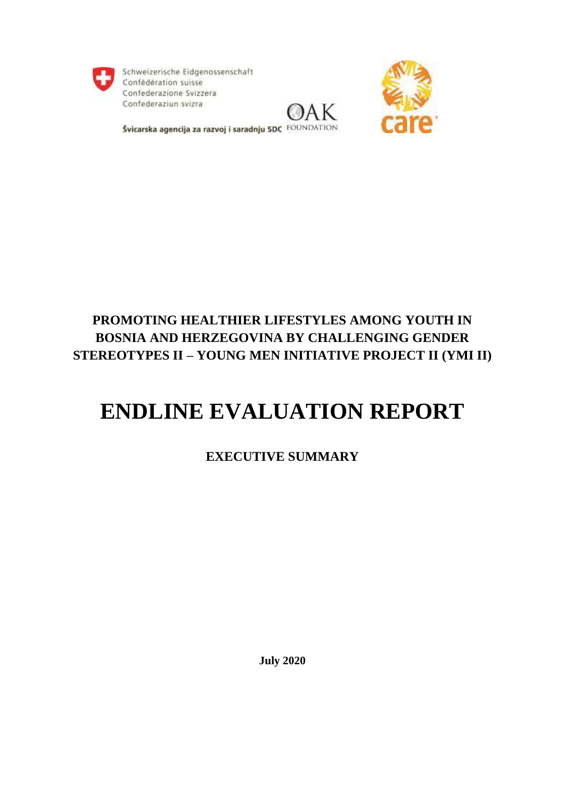

Schweizerische Eidgenossenschaft Confédération suisse Confederazione Svizzera Confederaziun svizra





Švicarska agencija za razvoj i saradnju SDC FOUNDATION

## **PROMOTING HEALTHIER LIFESTYLES AMONG YOUTH IN BOSNIA AND HERZEGOVINA BY CHALLENGING GENDER STEREOTYPES II – YOUNG MEN INITIATIVE PROJECT II (YMI II)**

# **ENDLINE EVALUATION REPORT**

### **EXECUTIVE SUMMARY**

**July 2020**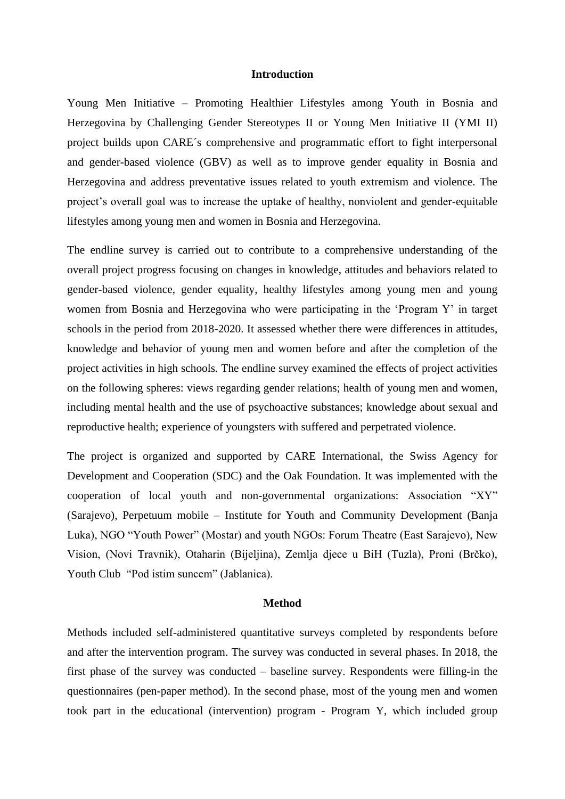#### **Introduction**

Young Men Initiative – Promoting Healthier Lifestyles among Youth in Bosnia and Herzegovina by Challenging Gender Stereotypes II or Young Men Initiative II (YMI II) project builds upon CARE´s comprehensive and programmatic effort to fight interpersonal and gender-based violence (GBV) as well as to improve gender equality in Bosnia and Herzegovina and address preventative issues related to youth extremism and violence. The project's overall goal was to increase the uptake of healthy, nonviolent and gender-equitable lifestyles among young men and women in Bosnia and Herzegovina.

The endline survey is carried out to contribute to a comprehensive understanding of the overall project progress focusing on changes in knowledge, attitudes and behaviors related to gender-based violence, gender equality, healthy lifestyles among young men and young women from Bosnia and Herzegovina who were participating in the 'Program Y' in target schools in the period from 2018-2020. It assessed whether there were differences in attitudes, knowledge and behavior of young men and women before and after the completion of the project activities in high schools. The endline survey examined the effects of project activities on the following spheres: views regarding gender relations; health of young men and women, including mental health and the use of psychoactive substances; knowledge about sexual and reproductive health; experience of youngsters with suffered and perpetrated violence.

The project is organized and supported by CARE International, the Swiss Agency for Development and Cooperation (SDC) and the Oak Foundation. It was implemented with the cooperation of local youth and non-governmental organizations: Association "XY" (Sarajevo), Perpetuum mobile – Institute for Youth and Community Development (Banja Luka), NGO "Youth Power" (Mostar) and youth NGOs: Forum Theatre (East Sarajevo), New Vision, (Novi Travnik), Otaharin (Bijeljina), Zemlja djece u BiH (Tuzla), Proni (Brčko), Youth Club "Pod istim suncem" (Jablanica).

#### **Method**

Methods included self-administered quantitative surveys completed by respondents before and after the intervention program. The survey was conducted in several phases. In 2018, the first phase of the survey was conducted – baseline survey. Respondents were filling-in the questionnaires (pen-paper method). In the second phase, most of the young men and women took part in the educational (intervention) program - Program Y, which included group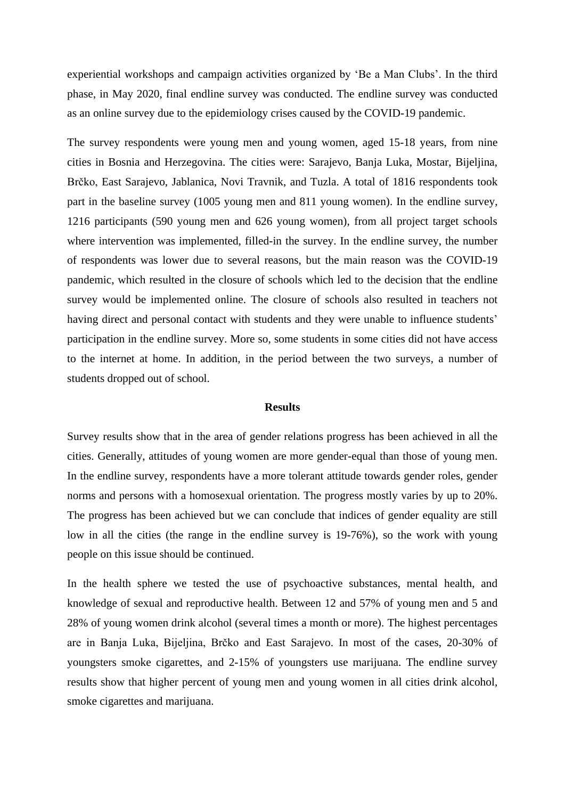experiential workshops and campaign activities organized by 'Be a Man Clubs'. In the third phase, in May 2020, final endline survey was conducted. The endline survey was conducted as an online survey due to the epidemiology crises caused by the COVID-19 pandemic.

The survey respondents were young men and young women, aged 15-18 years, from nine cities in Bosnia and Herzegovina. The cities were: Sarajevo, Banja Luka, Mostar, Bijeljina, Brčko, East Sarajevo, Jablanica, Novi Travnik, and Tuzla. A total of 1816 respondents took part in the baseline survey (1005 young men and 811 young women). In the endline survey, 1216 participants (590 young men and 626 young women), from all project target schools where intervention was implemented, filled-in the survey. In the endline survey, the number of respondents was lower due to several reasons, but the main reason was the COVID-19 pandemic, which resulted in the closure of schools which led to the decision that the endline survey would be implemented online. The closure of schools also resulted in teachers not having direct and personal contact with students and they were unable to influence students' participation in the endline survey. More so, some students in some cities did not have access to the internet at home. In addition, in the period between the two surveys, a number of students dropped out of school.

#### **Results**

Survey results show that in the area of gender relations progress has been achieved in all the cities. Generally, attitudes of young women are more gender-equal than those of young men. In the endline survey, respondents have a more tolerant attitude towards gender roles, gender norms and persons with a homosexual orientation. The progress mostly varies by up to 20%. The progress has been achieved but we can conclude that indices of gender equality are still low in all the cities (the range in the endline survey is 19-76%), so the work with young people on this issue should be continued.

In the health sphere we tested the use of psychoactive substances, mental health, and knowledge of sexual and reproductive health. Between 12 and 57% of young men and 5 and 28% of young women drink alcohol (several times a month or more). The highest percentages are in Banja Luka, Bijeljina, Brčko and East Sarajevo. In most of the cases, 20-30% of youngsters smoke cigarettes, and 2-15% of youngsters use marijuana. The endline survey results show that higher percent of young men and young women in all cities drink alcohol, smoke cigarettes and marijuana.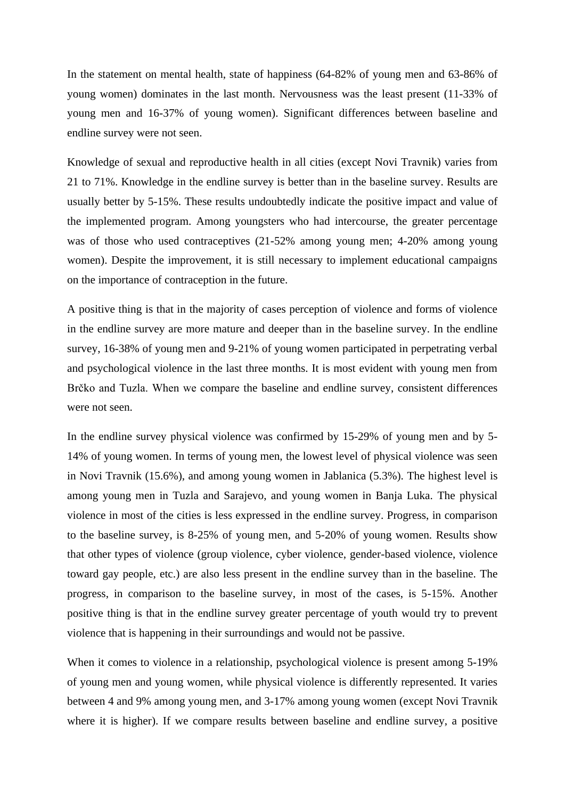In the statement on mental health, state of happiness (64-82% of young men and 63-86% of young women) dominates in the last month. Nervousness was the least present (11-33% of young men and 16-37% of young women). Significant differences between baseline and endline survey were not seen.

Knowledge of sexual and reproductive health in all cities (except Novi Travnik) varies from 21 to 71%. Knowledge in the endline survey is better than in the baseline survey. Results are usually better by 5-15%. These results undoubtedly indicate the positive impact and value of the implemented program. Among youngsters who had intercourse, the greater percentage was of those who used contraceptives (21-52% among young men; 4-20% among young women). Despite the improvement, it is still necessary to implement educational campaigns on the importance of contraception in the future.

A positive thing is that in the majority of cases perception of violence and forms of violence in the endline survey are more mature and deeper than in the baseline survey. In the endline survey, 16-38% of young men and 9-21% of young women participated in perpetrating verbal and psychological violence in the last three months. It is most evident with young men from Brčko and Tuzla. When we compare the baseline and endline survey, consistent differences were not seen.

In the endline survey physical violence was confirmed by 15-29% of young men and by 5- 14% of young women. In terms of young men, the lowest level of physical violence was seen in Novi Travnik (15.6%), and among young women in Jablanica (5.3%). The highest level is among young men in Tuzla and Sarajevo, and young women in Banja Luka. The physical violence in most of the cities is less expressed in the endline survey. Progress, in comparison to the baseline survey, is 8-25% of young men, and 5-20% of young women. Results show that other types of violence (group violence, cyber violence, gender-based violence, violence toward gay people, etc.) are also less present in the endline survey than in the baseline. The progress, in comparison to the baseline survey, in most of the cases, is 5-15%. Another positive thing is that in the endline survey greater percentage of youth would try to prevent violence that is happening in their surroundings and would not be passive.

When it comes to violence in a relationship, psychological violence is present among 5-19% of young men and young women, while physical violence is differently represented. It varies between 4 and 9% among young men, and 3-17% among young women (except Novi Travnik where it is higher). If we compare results between baseline and endline survey, a positive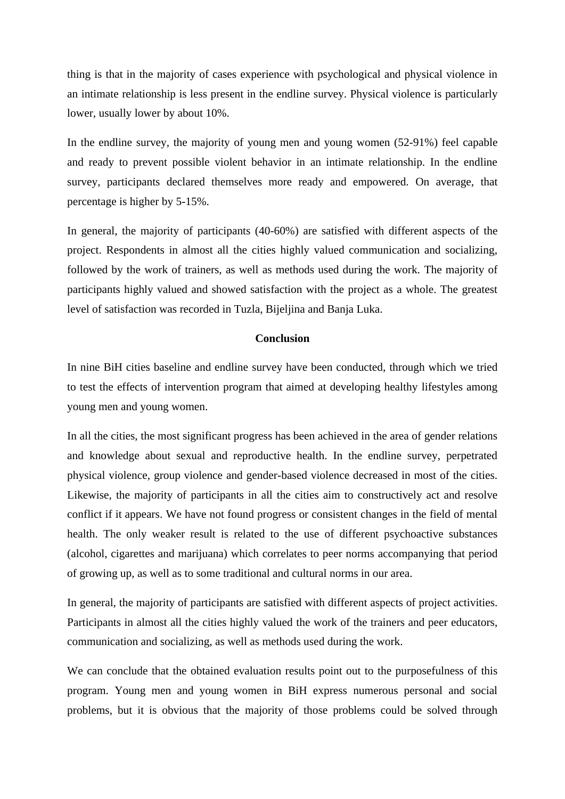thing is that in the majority of cases experience with psychological and physical violence in an intimate relationship is less present in the endline survey. Physical violence is particularly lower, usually lower by about 10%.

In the endline survey, the majority of young men and young women (52-91%) feel capable and ready to prevent possible violent behavior in an intimate relationship. In the endline survey, participants declared themselves more ready and empowered. On average, that percentage is higher by 5-15%.

In general, the majority of participants (40-60%) are satisfied with different aspects of the project. Respondents in almost all the cities highly valued communication and socializing, followed by the work of trainers, as well as methods used during the work. The majority of participants highly valued and showed satisfaction with the project as a whole. The greatest level of satisfaction was recorded in Tuzla, Bijeljina and Banja Luka.

#### **Conclusion**

In nine BiH cities baseline and endline survey have been conducted, through which we tried to test the effects of intervention program that aimed at developing healthy lifestyles among young men and young women.

In all the cities, the most significant progress has been achieved in the area of gender relations and knowledge about sexual and reproductive health. In the endline survey, perpetrated physical violence, group violence and gender-based violence decreased in most of the cities. Likewise, the majority of participants in all the cities aim to constructively act and resolve conflict if it appears. We have not found progress or consistent changes in the field of mental health. The only weaker result is related to the use of different psychoactive substances (alcohol, cigarettes and marijuana) which correlates to peer norms accompanying that period of growing up, as well as to some traditional and cultural norms in our area.

In general, the majority of participants are satisfied with different aspects of project activities. Participants in almost all the cities highly valued the work of the trainers and peer educators, communication and socializing, as well as methods used during the work.

We can conclude that the obtained evaluation results point out to the purposefulness of this program. Young men and young women in BiH express numerous personal and social problems, but it is obvious that the majority of those problems could be solved through